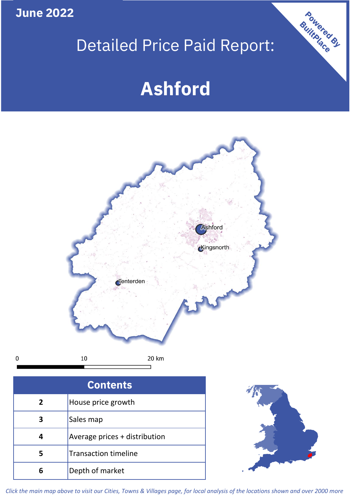**June 2022**

# Detailed Price Paid Report:

# **Ashford**



 $\pmb{0}$ 

| <b>Contents</b> |                               |  |  |
|-----------------|-------------------------------|--|--|
| 2               | House price growth            |  |  |
|                 | Sales map                     |  |  |
|                 | Average prices + distribution |  |  |
| 5               | <b>Transaction timeline</b>   |  |  |
| 6               | Depth of market               |  |  |



Powered By

*Click the main map above to visit our Cities, Towns & Villages page, for local analysis of the locations shown and over 2000 more*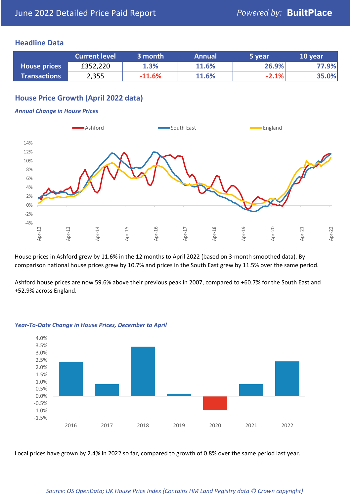### **Headline Data**

|                     | <b>Current level</b> | 3 month  | <b>Annual</b> | 5 vear  | 10 year |
|---------------------|----------------------|----------|---------------|---------|---------|
| <b>House prices</b> | £352,220             | 1.3%     | 11.6%         | 26.9%   | 77.9%   |
| <b>Transactions</b> | 2,355                | $-11.6%$ | 11.6%         | $-2.1%$ | 35.0%   |

# **House Price Growth (April 2022 data)**

#### *Annual Change in House Prices*



House prices in Ashford grew by 11.6% in the 12 months to April 2022 (based on 3-month smoothed data). By comparison national house prices grew by 10.7% and prices in the South East grew by 11.5% over the same period.

Ashford house prices are now 59.6% above their previous peak in 2007, compared to +60.7% for the South East and +52.9% across England.



#### *Year-To-Date Change in House Prices, December to April*

Local prices have grown by 2.4% in 2022 so far, compared to growth of 0.8% over the same period last year.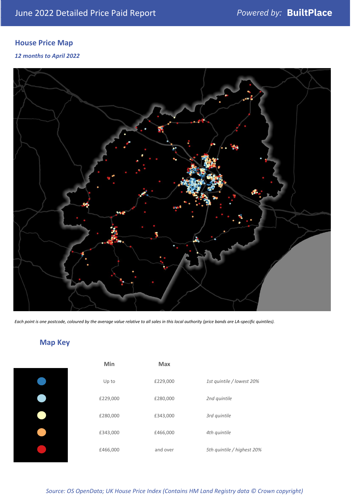# **House Price Map**

*12 months to April 2022*



*Each point is one postcode, coloured by the average value relative to all sales in this local authority (price bands are LA-specific quintiles).*

# **Map Key**

| Min      | <b>Max</b> |                            |
|----------|------------|----------------------------|
| Up to    | £229,000   | 1st quintile / lowest 20%  |
| £229,000 | £280,000   | 2nd quintile               |
| £280,000 | £343,000   | 3rd quintile               |
| £343,000 | £466,000   | 4th quintile               |
| £466,000 | and over   | 5th quintile / highest 20% |

*Source: OS OpenData; UK House Price Index (Contains HM Land Registry data © Crown copyright)*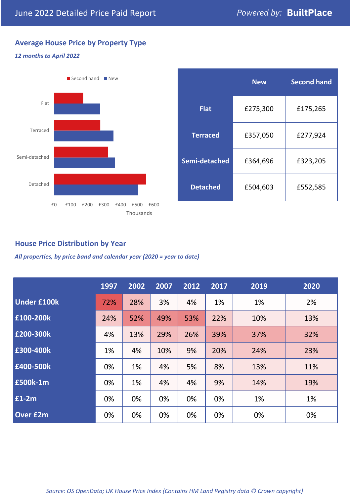# **Average House Price by Property Type**

#### *12 months to April 2022*



|                 | <b>New</b> | <b>Second hand</b> |  |  |
|-----------------|------------|--------------------|--|--|
| <b>Flat</b>     | £275,300   | £175,265           |  |  |
| <b>Terraced</b> | £357,050   | £277,924           |  |  |
| Semi-detached   | £364,696   | £323,205           |  |  |
| <b>Detached</b> | £504,603   | £552,585           |  |  |

# **House Price Distribution by Year**

*All properties, by price band and calendar year (2020 = year to date)*

|                    | 1997 | 2002 | 2007 | 2012 | 2017 | 2019 | 2020 |
|--------------------|------|------|------|------|------|------|------|
| <b>Under £100k</b> | 72%  | 28%  | 3%   | 4%   | 1%   | 1%   | 2%   |
| £100-200k          | 24%  | 52%  | 49%  | 53%  | 22%  | 10%  | 13%  |
| E200-300k          | 4%   | 13%  | 29%  | 26%  | 39%  | 37%  | 32%  |
| £300-400k          | 1%   | 4%   | 10%  | 9%   | 20%  | 24%  | 23%  |
| £400-500k          | 0%   | 1%   | 4%   | 5%   | 8%   | 13%  | 11%  |
| <b>£500k-1m</b>    | 0%   | 1%   | 4%   | 4%   | 9%   | 14%  | 19%  |
| £1-2m              | 0%   | 0%   | 0%   | 0%   | 0%   | 1%   | 1%   |
| <b>Over £2m</b>    | 0%   | 0%   | 0%   | 0%   | 0%   | 0%   | 0%   |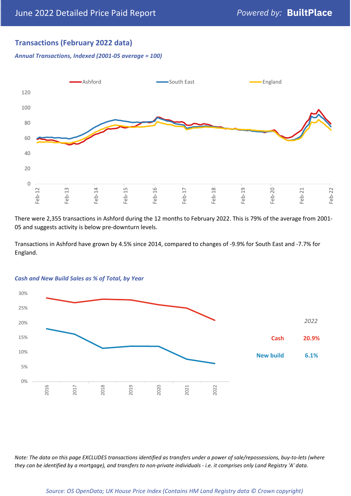# **Transactions (February 2022 data)**

*Annual Transactions, Indexed (2001-05 average = 100)*



There were 2,355 transactions in Ashford during the 12 months to February 2022. This is 79% of the average from 2001- 05 and suggests activity is below pre-downturn levels.

Transactions in Ashford have grown by 4.5% since 2014, compared to changes of -9.9% for South East and -7.7% for England.



#### *Cash and New Build Sales as % of Total, by Year*

*Note: The data on this page EXCLUDES transactions identified as transfers under a power of sale/repossessions, buy-to-lets (where they can be identified by a mortgage), and transfers to non-private individuals - i.e. it comprises only Land Registry 'A' data.*